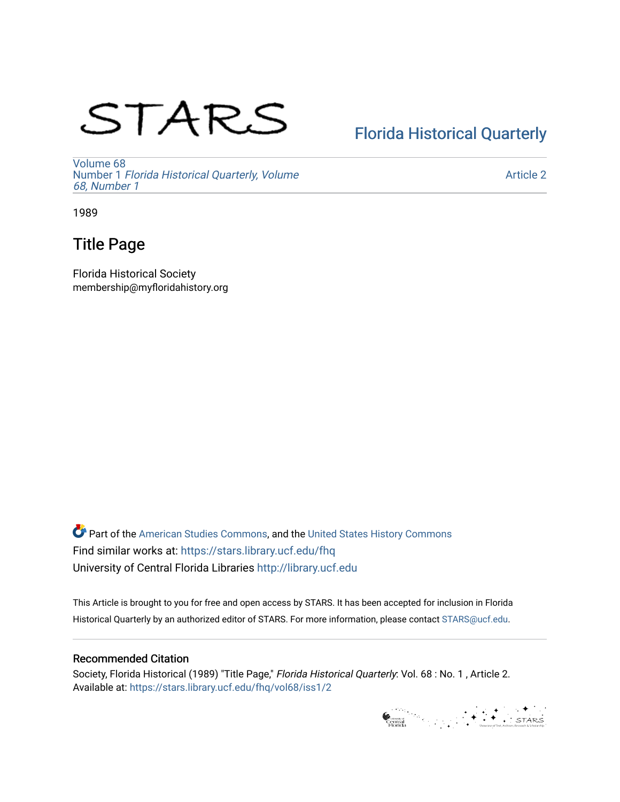# STARS

## [Florida Historical Quarterly](https://stars.library.ucf.edu/fhq)

[Volume 68](https://stars.library.ucf.edu/fhq/vol68) Number 1 [Florida Historical Quarterly, Volume](https://stars.library.ucf.edu/fhq/vol68/iss1)  [68, Number 1](https://stars.library.ucf.edu/fhq/vol68/iss1)

[Article 2](https://stars.library.ucf.edu/fhq/vol68/iss1/2) 

1989

## Title Page

Florida Historical Society membership@myfloridahistory.org

**C** Part of the [American Studies Commons](http://network.bepress.com/hgg/discipline/439?utm_source=stars.library.ucf.edu%2Ffhq%2Fvol68%2Fiss1%2F2&utm_medium=PDF&utm_campaign=PDFCoverPages), and the United States History Commons Find similar works at: <https://stars.library.ucf.edu/fhq> University of Central Florida Libraries [http://library.ucf.edu](http://library.ucf.edu/) 

This Article is brought to you for free and open access by STARS. It has been accepted for inclusion in Florida Historical Quarterly by an authorized editor of STARS. For more information, please contact [STARS@ucf.edu.](mailto:STARS@ucf.edu)

## Recommended Citation

Society, Florida Historical (1989) "Title Page," Florida Historical Quarterly: Vol. 68 : No. 1 , Article 2. Available at: [https://stars.library.ucf.edu/fhq/vol68/iss1/2](https://stars.library.ucf.edu/fhq/vol68/iss1/2?utm_source=stars.library.ucf.edu%2Ffhq%2Fvol68%2Fiss1%2F2&utm_medium=PDF&utm_campaign=PDFCoverPages) 

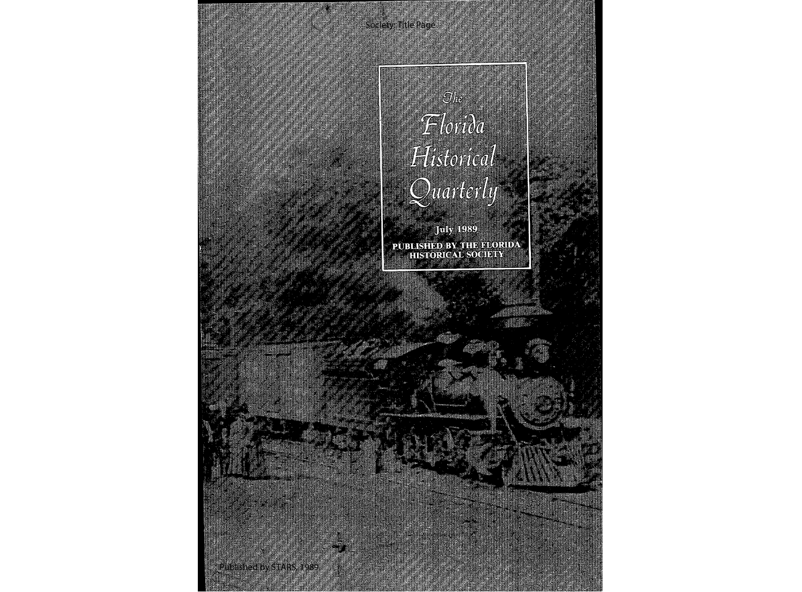Society: Title Page

 $\widehat{\mathbb{C}}$ he Florida Historical Quarterly

**July 1989** PUBLISHED BY THE FLORIDA

1

Published by STARS, 1989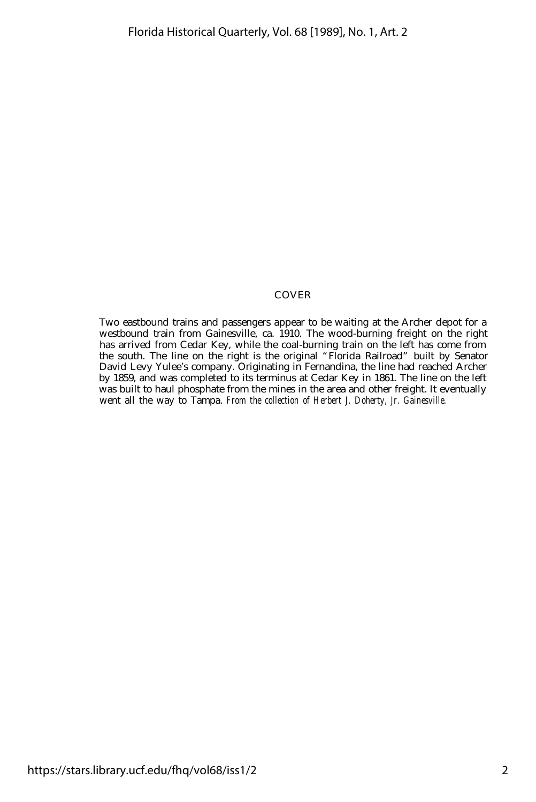#### COVER

Two eastbound trains and passengers appear to be waiting at the Archer depot for a westbound train from Gainesville, ca. 1910. The wood-burning freight on the right has arrived from Cedar Key, while the coal-burning train on the left has come from the south. The line on the right is the original "Florida Railroad" built by Senator David Levy Yulee's company. Originating in Fernandina, the line had reached Archer by 1859, and was completed to its terminus at Cedar Key in 1861. The line on the left was built to haul phosphate from the mines in the area and other freight. It eventually went all the way to Tampa. *From the collection of Herbert J. Doherty, Jr. Gainesville.*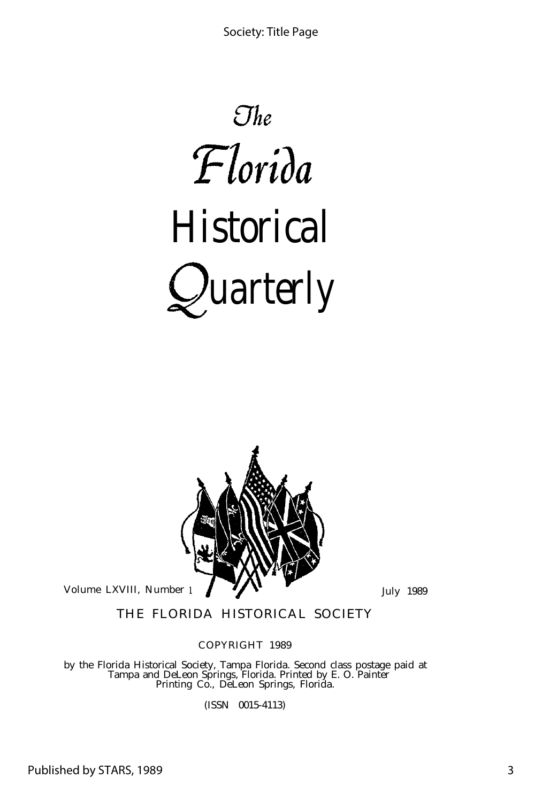



THE FLORIDA HISTORICAL SOCIETY

COPYRIGHT 1989

by the Florida Historical Society, Tampa Florida. Second class postage paid at Tampa and DeLeon Springs, Florida. Printed by E. O. Painter Printing Co., DeLeon Springs, Florida.

(ISSN 0015-4113)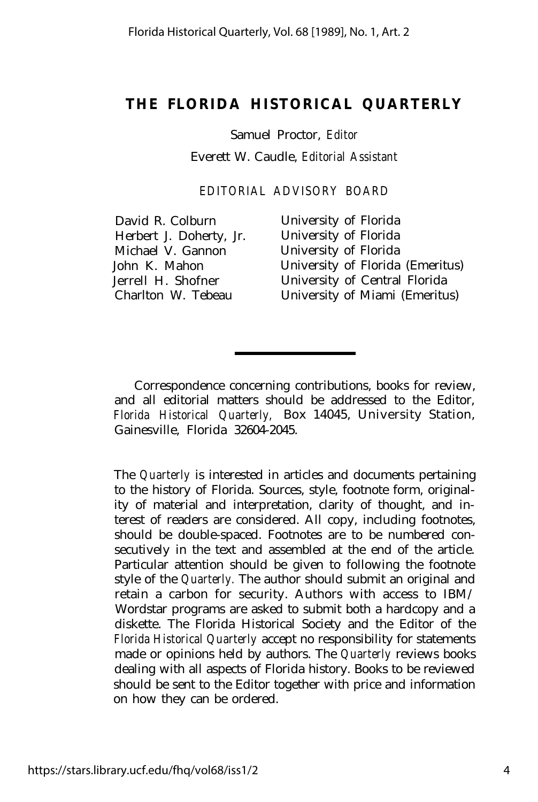### **THE FLORIDA HISTORICAL QUARTERLY**

Samuel Proctor, *Editor*

Everett W. Caudle, *Editorial Assistant*

*EDITORIAL ADVISORY BOARD*

David R. Colburn University of Florida<br>
Herbert J. Doherty. Jr. University of Florida Herbert J. Doherty, Jr. Michael V. Gannon University of Florida

John K. Mahon University of Florida (Emeritus) Jerrell H. Shofner University of Central Florida Charlton W. Tebeau University of Miami (Emeritus)

Correspondence concerning contributions, books for review, and all editorial matters should be addressed to the Editor, *Florida Historical Quarterly,* Box 14045, University Station, Gainesville, Florida 32604-2045.

The *Quarterly* is interested in articles and documents pertaining to the history of Florida. Sources, style, footnote form, originality of material and interpretation, clarity of thought, and interest of readers are considered. All copy, including footnotes, should be double-spaced. Footnotes are to be numbered consecutively in the text and assembled at the end of the article. Particular attention should be given to following the footnote style of the *Quarterly.* The author should submit an original and retain a carbon for security. Authors with access to IBM/ Wordstar programs are asked to submit both a hardcopy and a diskette. The Florida Historical Society and the Editor of the *Florida Historical Quarterly* accept no responsibility for statements made or opinions held by authors. The *Quarterly* reviews books dealing with all aspects of Florida history. Books to be reviewed should be sent to the Editor together with price and information on how they can be ordered.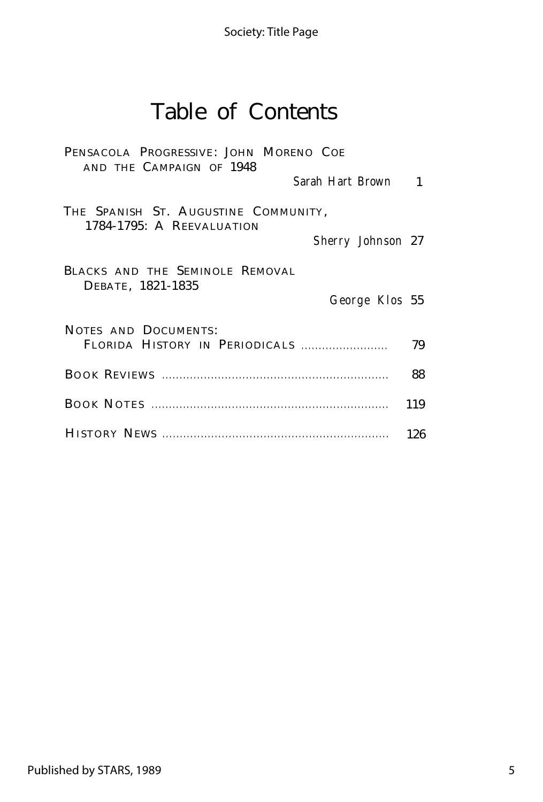# Table of Contents

| PENSACOLA PROGRESSIVE: JOHN MORENO COE<br>AND THE CAMPAIGN OF 1948<br>Sarah Hart Brown 1 |     |
|------------------------------------------------------------------------------------------|-----|
| THE SPANISH ST. AUGUSTINE COMMUNITY,<br>1784-1795: A REEVALUATION<br>Sherry Johnson 27   |     |
| BLACKS AND THE SEMINOLE REMOVAL<br>DEBATE, 1821-1835<br>George Klos 55                   |     |
| NOTES AND DOCUMENTS:<br>FLORIDA HISTORY IN PERIODICALS                                   | 79  |
|                                                                                          | 88  |
|                                                                                          | 119 |
|                                                                                          | 126 |